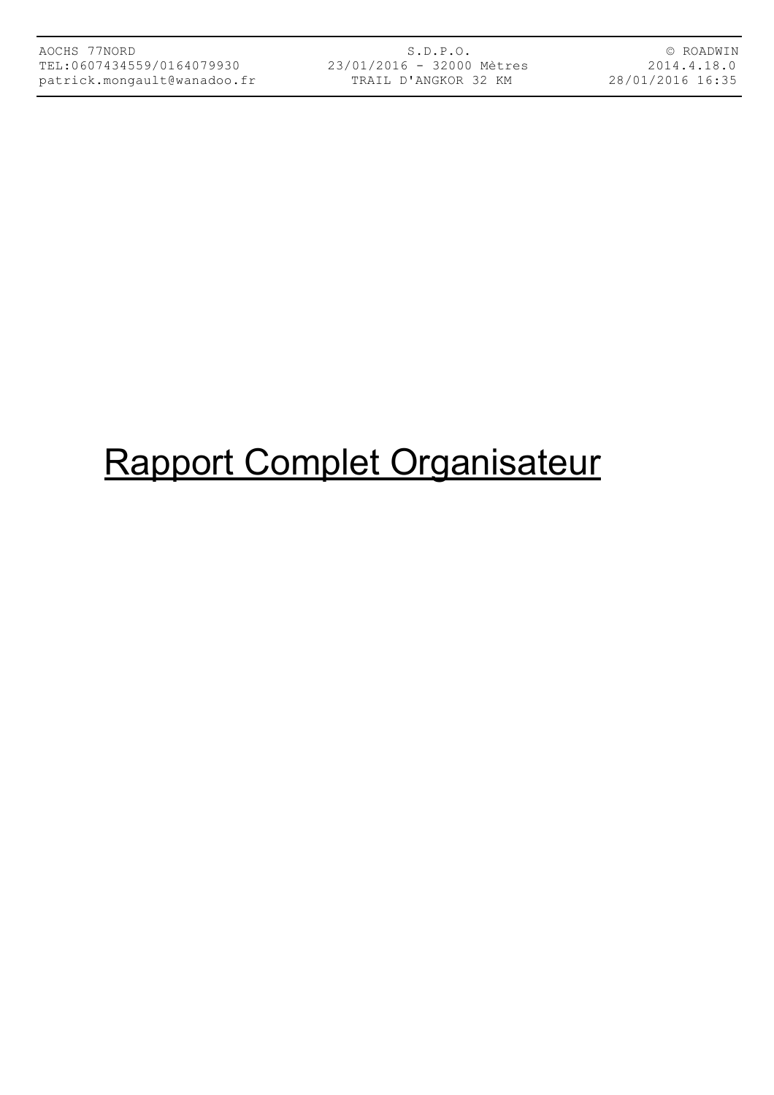# Rapport Complet Organisateur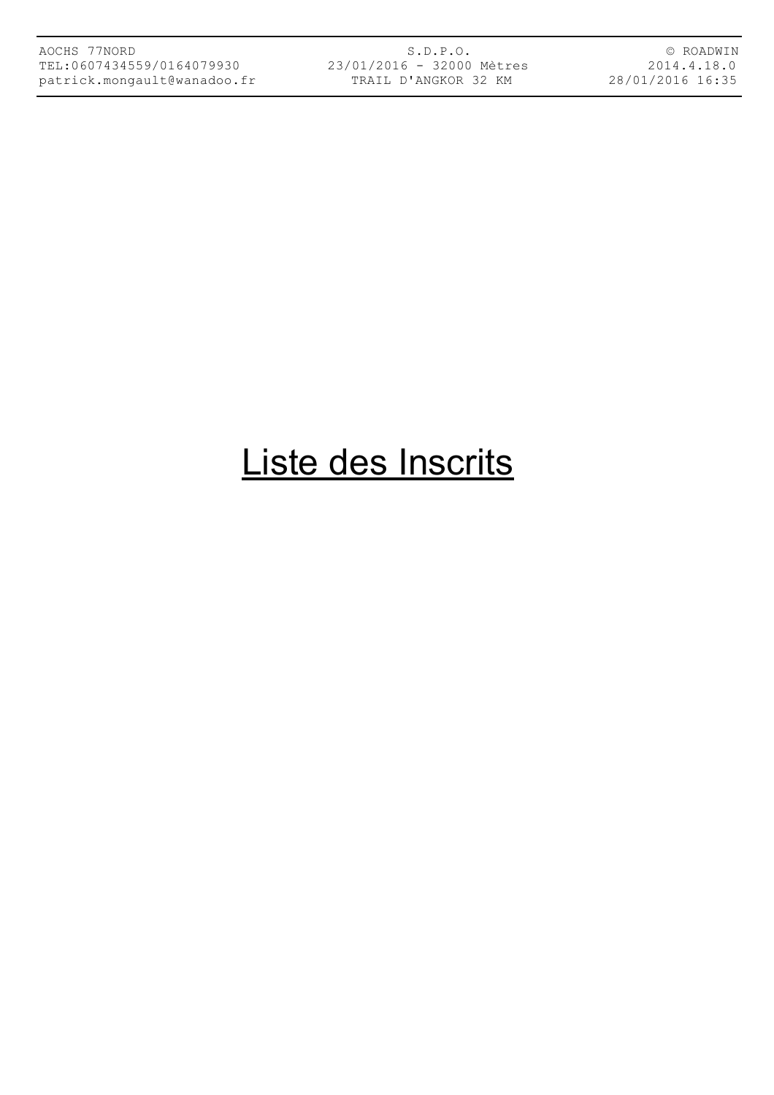S.D.P.O. 23/01/2016 - 32000 Mètres TRAIL D'ANGKOR 32 KM

© ROADWIN 2014.4.18.0 28/01/2016 16:35

### Liste des Inscrits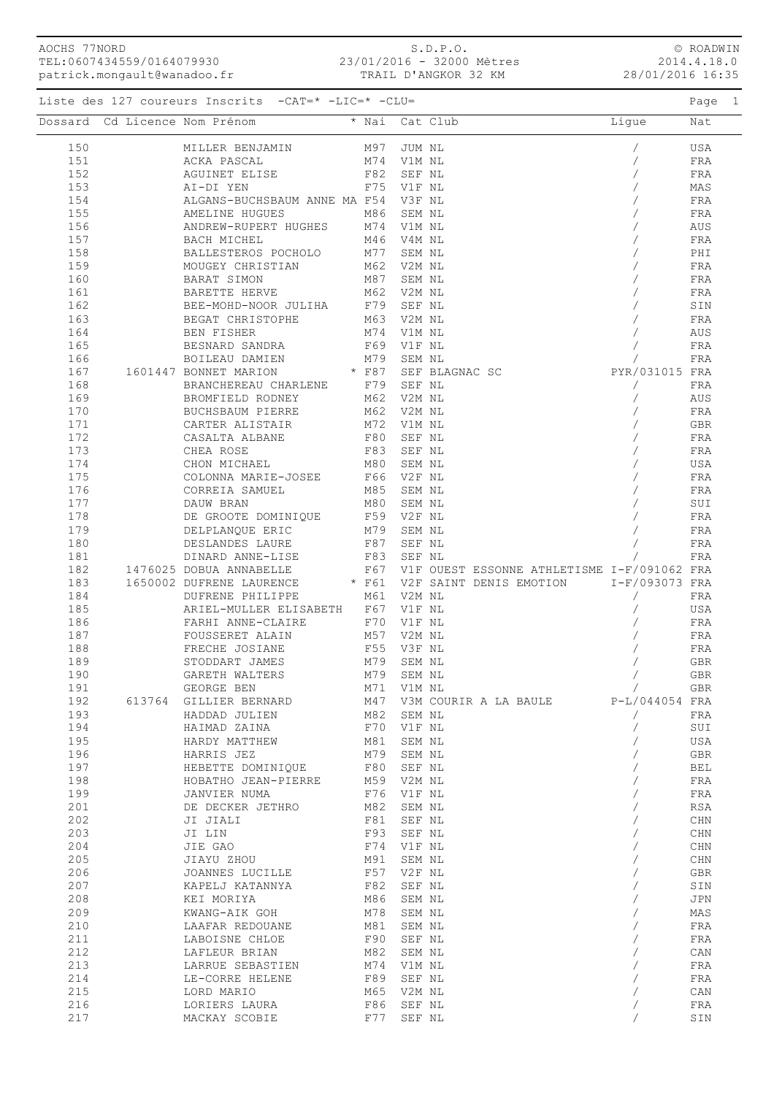|            |        |                                                                                                             |            | 8.D.P.O. 6.<br>TEL:0607434559/0164079930 23/01/2016 - 32000 Mètres 2014.4.18.0<br>patrick.mongault@wanadoo.fr TRAIL D'ANGKOR 32 KM 28/01/2016 16:35                                                                            |                |            |
|------------|--------|-------------------------------------------------------------------------------------------------------------|------------|--------------------------------------------------------------------------------------------------------------------------------------------------------------------------------------------------------------------------------|----------------|------------|
|            |        | Liste des 127 coureurs Inscrits -CAT=* -LIC=* -CLU=                                                         |            |                                                                                                                                                                                                                                |                | Page 1     |
|            |        | Dossard Cd Licence Nom Prénom                                                                               |            |                                                                                                                                                                                                                                | Lique          | Nat        |
| 150        |        | MILLER BENJAMIN                                                                                             |            | M97 JUM NL                                                                                                                                                                                                                     |                | USA        |
| 151        |        | ACKA PASCAL                                                                                                 |            | M74 V1M NL                                                                                                                                                                                                                     |                | FRA        |
| 152        |        | AGUINET ELISE                                                                                               |            | F82 SEF NL                                                                                                                                                                                                                     |                | FRA        |
| 153        |        | AI-DI YEN                                                                                                   |            | F75 V1F NL                                                                                                                                                                                                                     |                | MAS        |
| 154        |        | ALGANS-BUCHSBAUM ANNE MA F54 V3F NL                                                                         |            |                                                                                                                                                                                                                                |                | FRA        |
| 155<br>156 |        | AMELINE HUGUES<br>AMELINE HUGUES M86 SEM NL ANDREW-RUPERT HUGHES M74 V1M NL ANDREW-RUPERT HUGHES M74 V1M NL |            | M86 SEM NL                                                                                                                                                                                                                     |                | FRA<br>AUS |
| 157        |        | BACH MICHEL                                                                                                 |            | M46 V4M NL                                                                                                                                                                                                                     |                | FRA        |
| 158        |        | BALLESTEROS POCHOLO M77 SEM NL                                                                              |            |                                                                                                                                                                                                                                |                | PHI        |
| 159        |        |                                                                                                             |            |                                                                                                                                                                                                                                |                | FRA        |
| 160        |        | MOUGEY CHRISTIAN M62 V2M NL BARAT SIMON M87 SEM NL                                                          |            |                                                                                                                                                                                                                                |                | FRA        |
| 161        |        | BARETTE HERVE                                                                                               |            | M62 V2M NL                                                                                                                                                                                                                     |                | FRA        |
| 162        |        |                                                                                                             |            |                                                                                                                                                                                                                                |                | SIN        |
| 163        |        | BEE-MOHD-NOOR JULIHA F79 SEF NL<br>BEGAT CHRISTOPHE M63 V2M NL                                              |            |                                                                                                                                                                                                                                |                | FRA        |
| 164        |        | BEN FISHER                                                                                                  |            | M74 V1M NL                                                                                                                                                                                                                     |                | AUS        |
|            |        |                                                                                                             |            | 165 BESNARD SANDRA F69 V1F NL (FRA RAND SANDRA RESNARD SANDRA RESNARD AND RESNARD SANDRA RESNARD AND RESNARD SANDRA RESNARD SANDRA RESNARD SANDRA RESNARD SANDRA RESNARD SAND RESNARD SAND RESNARD SAND RESNARD SAND RESNARD S |                |            |
|            |        |                                                                                                             |            |                                                                                                                                                                                                                                |                |            |
|            |        |                                                                                                             |            |                                                                                                                                                                                                                                |                |            |
| 168        |        | BRANCHEREAU CHARLENE F79 SEF NL                                                                             |            |                                                                                                                                                                                                                                | $\sqrt{2}$     | FRA        |
| 169        |        | BROMFIELD RODNEY                                                                                            |            | M62   V2M  NL<br>M62    V2M  NL                                                                                                                                                                                                |                | AUS        |
| 170        |        | BUCHSBAUM PIERRE                                                                                            |            |                                                                                                                                                                                                                                |                | FRA        |
| 171        |        | CARTER ALISTAIR                                                                                             |            | M72 V1M NL                                                                                                                                                                                                                     |                | <b>GBR</b> |
| 172        |        | CASALTA ALBANE                                                                                              |            | F80 SEF NL<br>F83 SEF NL                                                                                                                                                                                                       |                | FRA        |
| 173        |        | CHEA ROSE                                                                                                   |            |                                                                                                                                                                                                                                |                | FRA        |
| 174        |        | CHON MICHAEL M80 SEM NL                                                                                     |            |                                                                                                                                                                                                                                |                | USA        |
| 175        |        |                                                                                                             |            |                                                                                                                                                                                                                                |                | FRA        |
| 176<br>177 |        |                                                                                                             |            |                                                                                                                                                                                                                                |                | FRA        |
| 178        |        |                                                                                                             |            |                                                                                                                                                                                                                                |                | SUI<br>FRA |
| 179        |        | DE GROOTE DOMINIQUE F59 V2F NL<br>DELPLANOUE ERIC M79 SEM NL                                                |            |                                                                                                                                                                                                                                |                | FRA        |
| 180        |        | DESLANDES LAURE F87 SEF NL                                                                                  |            |                                                                                                                                                                                                                                |                | FRA        |
|            |        |                                                                                                             |            |                                                                                                                                                                                                                                |                | FRA        |
|            |        |                                                                                                             |            | 181 DINARD ANNE-LISE F83 SEF NL<br>182 1476025 DOBUA ANNABELLE F67 V1F OUEST ESSONNE ATHLETISME<br>183 1650002 DUFRENE LAURENCE * F61 V2F SAINT DENIS EMOTION<br>F67 V1F OUEST ESSONNE ATHLETISME I-F/091062 FRA               |                |            |
|            |        |                                                                                                             |            |                                                                                                                                                                                                                                | I-F/093073 FRA |            |
| 184        |        | DUFRENE PHILIPPE M61 V2M NL                                                                                 |            |                                                                                                                                                                                                                                |                | FRA        |
| 185        |        | ARIEL-MULLER ELISABETH F67 V1F NL                                                                           |            |                                                                                                                                                                                                                                |                | USA        |
| 186        |        | FARHI ANNE-CLAIRE                                                                                           |            | F70 V1F NL                                                                                                                                                                                                                     |                | FRA        |
| 187        |        | FOUSSERET ALAIN                                                                                             | M57        | V2M NL                                                                                                                                                                                                                         |                | FRA        |
| 188        |        | FRECHE JOSIANE                                                                                              | F55        | V3F NL                                                                                                                                                                                                                         |                | FRA        |
| 189        |        | STODDART JAMES                                                                                              | M79        | SEM NL                                                                                                                                                                                                                         |                | <b>GBR</b> |
| 190        |        | GARETH WALTERS                                                                                              | M79        | SEM NL                                                                                                                                                                                                                         |                | GBR        |
| 191        |        | GEORGE BEN                                                                                                  | M71        | V1M NL                                                                                                                                                                                                                         |                | <b>GBR</b> |
| 192        | 613764 | GILLIER BERNARD                                                                                             | M47        | V3M COURIR A LA BAULE                                                                                                                                                                                                          | P-L/044054 FRA |            |
| 193        |        | HADDAD JULIEN                                                                                               | M82        | SEM NL                                                                                                                                                                                                                         | 7              | FRA        |
| 194<br>195 |        | HAIMAD ZAINA<br>HARDY MATTHEW                                                                               | F70        | V1F NL<br>SEM NL                                                                                                                                                                                                               |                | SUI<br>USA |
| 196        |        | HARRIS JEZ                                                                                                  | M81<br>M79 | SEM NL                                                                                                                                                                                                                         |                | GBR        |
| 197        |        | HEBETTE DOMINIQUE                                                                                           | F80        | SEF NL                                                                                                                                                                                                                         |                | <b>BEL</b> |
| 198        |        | HOBATHO JEAN-PIERRE                                                                                         | M59        | V2M NL                                                                                                                                                                                                                         |                | FRA        |
| 199        |        | JANVIER NUMA                                                                                                | F76        | V1F NL                                                                                                                                                                                                                         |                | FRA        |
| 201        |        | DE DECKER JETHRO                                                                                            | M82        | SEM NL                                                                                                                                                                                                                         |                | <b>RSA</b> |
| 202        |        | JI JIALI                                                                                                    | F81        | SEF NL                                                                                                                                                                                                                         |                | CHN        |
| 203        |        | JI LIN                                                                                                      | F93        | SEF NL                                                                                                                                                                                                                         |                | $\rm CHN$  |
| 204        |        | JIE GAO                                                                                                     | F74        | V1F NL                                                                                                                                                                                                                         |                | $\rm CHN$  |
| 205        |        | JIAYU ZHOU                                                                                                  | M91        | SEM NL                                                                                                                                                                                                                         |                | CHN        |
| 206        |        | JOANNES LUCILLE                                                                                             | F57        | V2F NL                                                                                                                                                                                                                         |                | <b>GBR</b> |
| 207        |        | KAPELJ KATANNYA                                                                                             | F82        | SEF NL                                                                                                                                                                                                                         |                | SIN        |
| 208        |        | KEI MORIYA                                                                                                  | M86        | SEM NL                                                                                                                                                                                                                         |                | JPN        |
| 209        |        | KWANG-AIK GOH                                                                                               | M78        | SEM NL                                                                                                                                                                                                                         |                | MAS        |
| 210        |        | LAAFAR REDOUANE                                                                                             | M81        | SEM NL                                                                                                                                                                                                                         |                | FRA        |
| 211        |        | LABOISNE CHLOE                                                                                              | F90        | SEF NL                                                                                                                                                                                                                         |                | <b>FRA</b> |
| 212        |        | LAFLEUR BRIAN                                                                                               | M82        | SEM NL                                                                                                                                                                                                                         |                | CAN        |
| 213        |        | LARRUE SEBASTIEN                                                                                            | M74        | V1M NL                                                                                                                                                                                                                         |                | FRA        |
| 214<br>215 |        | LE-CORRE HELENE                                                                                             | F89        | SEF NL                                                                                                                                                                                                                         |                | FRA        |
| 216        |        | LORD MARIO<br>LORIERS LAURA                                                                                 | M65<br>F86 | V2M NL<br>SEF NL                                                                                                                                                                                                               |                | CAN<br>FRA |
| 217        |        | MACKAY SCOBIE                                                                                               | F77        | SEF NL                                                                                                                                                                                                                         |                | SIN        |
|            |        |                                                                                                             |            |                                                                                                                                                                                                                                |                |            |

S.D.P.O.

AOCHS 77NORD

© ROADWIN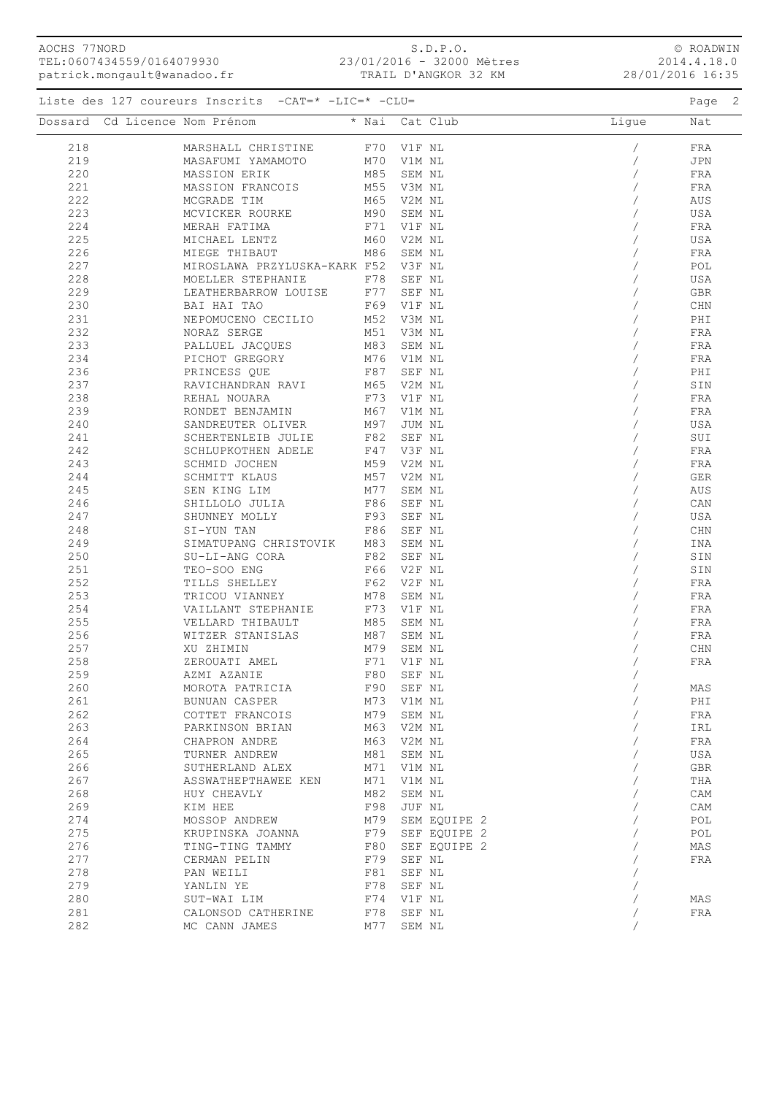| patrick.mongault@wanadoo.fr |  |                                                                                                     | TRAIL D'ANGKOR 32 KM     | 28/01/2016 16:35 |                |  |  |
|-----------------------------|--|-----------------------------------------------------------------------------------------------------|--------------------------|------------------|----------------|--|--|
|                             |  | Liste des 127 coureurs Inscrits -CAT=* -LIC=* -CLU=                                                 |                          |                  | Page 2         |  |  |
|                             |  | Dossard Cd Licence Nom Prénom                                                                       | * Nai Cat Club           | Ligue            | Nat            |  |  |
| 218                         |  | MARSHALL CHRISTINE F70 V1F NL                                                                       |                          |                  | FRA            |  |  |
| 219                         |  | MASAFUMI YAMAMOTO                                                                                   | M70 V1M NL               |                  | JPN            |  |  |
| 220                         |  | MASSION ERIK                                                                                        | M85 SEM NL               |                  | FRA            |  |  |
| 221                         |  | MASSION FRANCOIS                                                                                    | M55 V3M NL               |                  | FRA            |  |  |
| 222                         |  | MCGRADE TIM                                                                                         | M65 V2M NL               |                  | AUS            |  |  |
| 223                         |  | MCVICKER ROURKE                                                                                     | M90 SEM NL               |                  | USA            |  |  |
| 224                         |  | MERAH FATIMA                                                                                        | F71 V1F NL               |                  | FRA            |  |  |
| 225                         |  | MICHAEL LENTZ                                                                                       | M60 V2M NL               |                  | USA            |  |  |
| 226                         |  | MIEGE THIBAUT                                                                                       | M86 SEM NL               |                  | FRA            |  |  |
| 227                         |  | MIROSLAWA PRZYLUSKA-KARK F52 V3F NL                                                                 |                          |                  | POL            |  |  |
| 228                         |  | MOELLER STEPHANIE                                                                                   | F78 SEF NL               |                  | USA            |  |  |
| 229                         |  | LEATHERBARROW LOUISE F77 SEF NL                                                                     |                          |                  | GBR            |  |  |
| 230                         |  | BAI HAI TAO                                                                                         | F69 V1F NL               |                  | $\mathtt{CHN}$ |  |  |
| 231                         |  | NEPOMUCENO CECILIO M52 V3M NL                                                                       |                          |                  | PHI            |  |  |
| 232                         |  | NORAZ SERGE                                                                                         | M51 V3M NL               |                  | FRA            |  |  |
| 233                         |  | PALLUEL JACQUES                                                                                     | M83 SEM NL               |                  | FRA            |  |  |
| 234                         |  | PICHOT GREGORY                                                                                      | M76 V1M NL               |                  | FRA            |  |  |
| 236                         |  | PRINCESS QUE                                                                                        |                          |                  | PHI            |  |  |
| 237                         |  | RAVICHANDRAN RAVI                                                                                   | F87 SEF NL<br>M65 V2M NL |                  | SIN            |  |  |
| 238                         |  | REHAL NOUARA                                                                                        | F73 V1F NL               |                  | FRA            |  |  |
| 239                         |  |                                                                                                     |                          |                  | ${\rm FRA}$    |  |  |
| 240                         |  | RONDET BENJAMIN M67 V1M NL SANDREUTER OLIVER M97 JUM NL                                             |                          |                  | USA            |  |  |
| 241                         |  | SCHERTENLEIB JULIE F82 SEF NL                                                                       |                          |                  | SUI            |  |  |
| 242                         |  | SCHLUPKOTHEN ADELE                                                                                  | F47 V3F NL               |                  | FRA            |  |  |
| 243                         |  | SCHMID JOCHEN                                                                                       | M59 V2M NL               |                  | FRA            |  |  |
| 244                         |  | SCHMITT KLAUS                                                                                       | M57 V2M NL               |                  | ${\tt GER}$    |  |  |
| 245                         |  | SEN KING LIM                                                                                        | M77 SEM NL               |                  | AUS            |  |  |
| 246                         |  | SHILLOLO JULIA                                                                                      | F86 SEF NL               |                  | CAN            |  |  |
| 247                         |  | SHUNNEY MOLLY                                                                                       | F93 SEF NL               |                  | USA            |  |  |
| 248                         |  | SI-YUN TAN                                                                                          | F86 SEF NL               |                  | $\mathtt{CHN}$ |  |  |
| 249                         |  | SIMATUPANG CHRISTOVIK M83 SEM NL                                                                    |                          |                  | INA            |  |  |
| 250                         |  | SU-LI-ANG CORA                                                                                      | F82 SEF NL               |                  | SIN            |  |  |
| 251                         |  |                                                                                                     | F66 V2F NL               |                  | SIN            |  |  |
| 252                         |  | TEO-SOO ENG                                                                                         | F62 V2F NL               |                  |                |  |  |
| 253                         |  | TILLS SHELLEY                                                                                       | M78 SEM NL               |                  | FRA            |  |  |
| 254                         |  | TRICOU VIANNEY<br>VAILLANT STEPHANIE F73 V1F NL                                                     |                          |                  | FRA<br>FRA     |  |  |
| 255                         |  |                                                                                                     | M85 SEM NL               |                  | FRA            |  |  |
| 256                         |  | VELLARD THIBAULT<br>WITZER STANISLAS                                                                | M87 SEM NL               |                  | FRA            |  |  |
|                             |  |                                                                                                     |                          |                  |                |  |  |
| 257                         |  | XU ZHIMIN                                                                                           | M79 SEM NL               |                  | $\mathtt{CHN}$ |  |  |
| 258                         |  | ZEROUATI AMEL                                                                                       | F71 V1F NL               | $\sqrt{2}$       | FRA            |  |  |
| 259<br>260                  |  |                                                                                                     |                          | $\sqrt{2}$       | MAS            |  |  |
| 261                         |  |                                                                                                     |                          |                  |                |  |  |
|                             |  | BUNUAN CASPER                                                                                       | M73 V1M NL               |                  | PHI            |  |  |
| 262                         |  | COTTET FRANCOIS<br>PARKINSON BRIAN                                                                  | M79 SEM NL               |                  | FRA            |  |  |
| 263                         |  |                                                                                                     | M63 V2M NL               |                  | IRL            |  |  |
| 264                         |  | CHAPRON ANDRE                                                                                       | M63 V2M NL               |                  | FRA            |  |  |
| 265                         |  | TURNER ANDREW                                                                                       | M81 SEM NL<br>M71 V1M NL |                  | USA            |  |  |
| 266                         |  | SUTHERLAND ALEX                                                                                     |                          |                  | GBR            |  |  |
| 267                         |  | ASSWATHEPTHAWEE KEN M71 V1M NL                                                                      |                          | $\sqrt{2}$       | THA            |  |  |
| 268                         |  | HUY CHEAVLY                                                                                         | M82 SEM NL               |                  | CAM            |  |  |
| 269                         |  | KIM HEE                                                                                             | F98 JUF NL               |                  | CAM            |  |  |
| 274                         |  | MOSSOP ANDREW M79 SEM EQUIPE 2                                                                      |                          | $\sqrt{2}$       | POL            |  |  |
| 275                         |  | KRUPINSKA JOANNA 1979 SEF EQUIPE 2<br>TING-TING TAMMY 1980 SEF EQUIPE 2<br>CERMAN PELIN 1979 SEF NL |                          |                  | POL            |  |  |
| 276                         |  |                                                                                                     |                          |                  | MAS            |  |  |
| 277                         |  |                                                                                                     |                          | $\sqrt{2}$       | FRA            |  |  |
| 278                         |  | PAN WEILI                                                                                           | F81 SEF NL               |                  |                |  |  |
| 279                         |  | YANLIN YE<br>SUT-WAI LIM                                                                            | F78 SEF NL<br>F74 V1F NL |                  |                |  |  |
| 280                         |  |                                                                                                     |                          |                  | MAS            |  |  |
| 281                         |  | CALONSOD CATHERINE F78 SEF NL                                                                       |                          |                  | FRA            |  |  |
| 282                         |  | MC CANN JAMES                                                                                       | M77 SEM NL               |                  |                |  |  |

S.D.P.O. 23/01/2016 - 32000 Mètres

AOCHS 77NORD

TEL:0607434559/0164079930

© ROADWIN 2014.4.18.0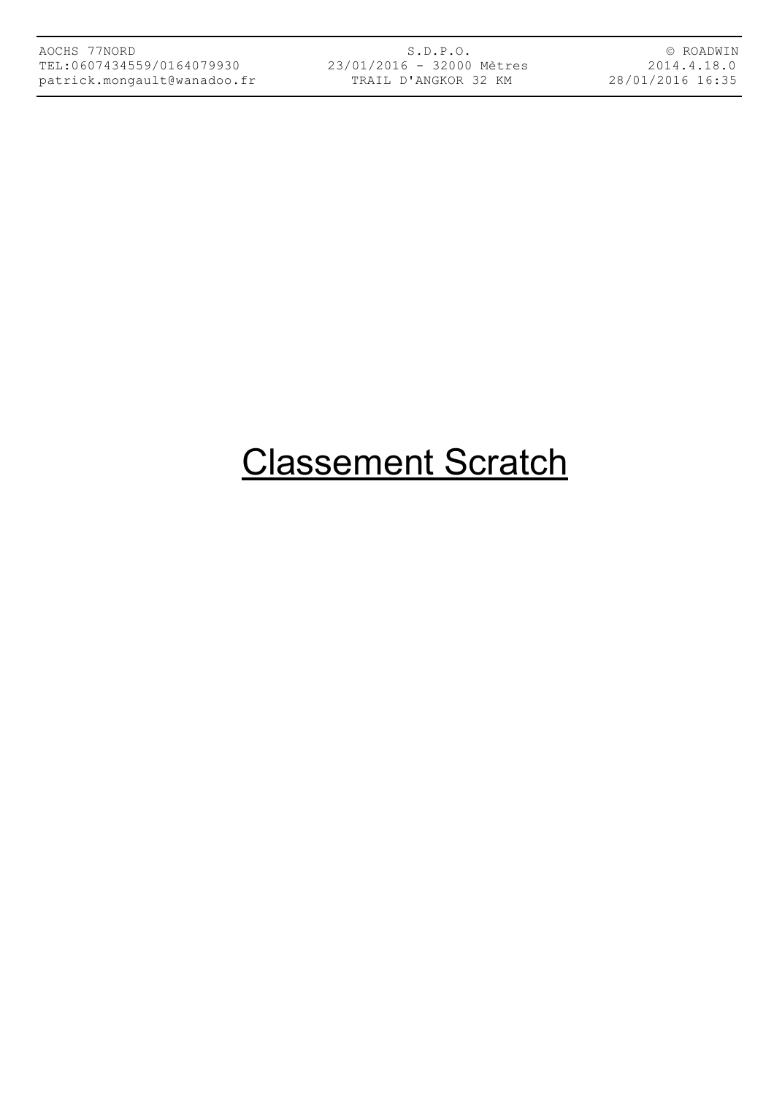S.D.P.O. 23/01/2016 - 32000 Mètres TRAIL D'ANGKOR 32 KM

© ROADWIN 2014.4.18.0 28/01/2016 16:35

# Classement Scratch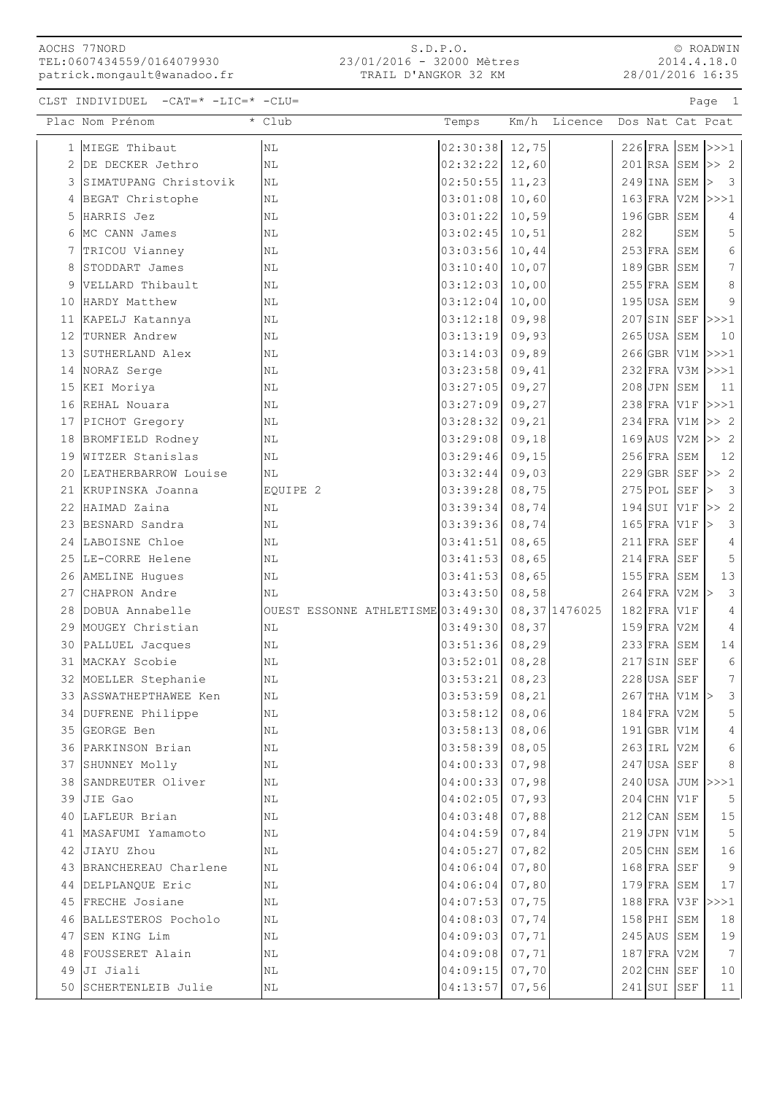S.D.P.O. 23/01/2016 - 32000 Mètres TRAIL D'ANGKOR 32 KM

© ROADWIN 2014.4.18.0 28/01/2016 16:35

CLST INDIVIDUEL -CAT=\* -LIC=\* -CLU= Page 1

|              | Plac Nom Prénom                         | * Club                            | Temps                | Km/h           | Licence        |     |                              |                 | Dos Nat Cat Pcat                |
|--------------|-----------------------------------------|-----------------------------------|----------------------|----------------|----------------|-----|------------------------------|-----------------|---------------------------------|
| $\mathbf{1}$ | MIEGE Thibaut                           | N <sub>L</sub>                    | 02:30:38             | 12,75          |                |     |                              |                 | $226$ FRA SEM $>>1$             |
|              | 2 DE DECKER Jethro                      | N <sub>L</sub>                    | 02:32:22             | 12,60          |                |     |                              | $201$ RSA SEM   | >> 2                            |
|              | 3 SIMATUPANG Christovik                 | NL                                | 02:50:55             | 11,23          |                |     |                              | $249$ INA SEM   | $\overline{\mathbf{3}}$<br>l>   |
| 4            | BEGAT Christophe                        | NL                                | 03:01:08             | 10,60          |                |     |                              | $163$ FRA V2M   | >>>1                            |
| 5            | HARRIS Jez                              | ΝL                                | 03:01:22             | 10,59          |                |     | $196$ GBR SEM                |                 | 4                               |
| 6            | MC CANN James                           | ΝL                                | 03:02:45             | 10,51          |                | 282 |                              | SEM             | 5                               |
| 7            | TRICOU Vianney                          | N <sub>L</sub>                    | 03:03:56             | 10,44          |                |     | $253$ FRA SEM                |                 | 6                               |
| 8            | STODDART James                          | ΝL                                | 03:10:40             | 10,07          |                |     | 189 GBR SEM                  |                 | 7                               |
| 9            | VELLARD Thibault                        | NL                                | 03:12:03             | 10,00          |                |     | 255 FRA SEM                  |                 | 8                               |
| 10           | HARDY Matthew                           | NL                                | 03:12:04             | 10,00          |                |     | 195 USA SEM                  |                 | 9                               |
|              | 11 KAPELJ Katannya                      | NL                                | 03:12:18             | 09,98          |                |     | $207$ SIN SEF                |                 | >>>1                            |
|              | 12 TURNER Andrew                        | NL                                | 03:13:19             | 09,93          |                |     | $265$ USA SEM                |                 | 10                              |
|              | 13 SUTHERLAND Alex                      | ΝL                                | 03:14:03             | 09,89          |                |     |                              |                 | 266 GBR V1M >>>1                |
|              | 14 NORAZ Serge                          | ΝL                                | 03:23:58             | 09,41          |                |     |                              |                 | 232 FRA V3M >>>1                |
|              | 15 KEI Moriya                           | ΝL                                | 03:27:05             | 09,27          |                |     | 208 JPN SEM                  |                 | 11                              |
| 16           | REHAL Nouara                            | ΝL                                | 03:27:09             | 09,27          |                |     |                              | $238$ FRA V1F   | >>>1                            |
|              | 17 PICHOT Gregory                       | NL                                | 03:28:32             | 09,21          |                |     | $234$ FRA V1M                |                 | >> 2                            |
| 18           | BROMFIELD Rodney                        | ΝL                                | 03:29:08             | 09,18          |                |     |                              | 169 AUS V2M     | >> 2                            |
| 19           | WITZER Stanislas                        | NL                                | 03:29:46             | 09, 15         |                |     | 256 FRA SEM                  |                 | 12                              |
| 20           | LEATHERBARROW Louise                    | ΝL                                | 03:32:44             | 09,03          |                |     | $229$ GBR SEF                |                 | >> 2                            |
| 21           | KRUPINSKA Joanna                        | EQUIPE 2                          | 03:39:28             | 08,75          |                |     | $275$ POL SEF                |                 | $\mathcal{E}$<br> >             |
|              | 22 HAIMAD Zaina                         | NL                                | 03:39:34             | 08,74          |                |     | $194$ SUI V1F                |                 | $\overline{2}$<br>$\Rightarrow$ |
|              | 23 BESNARD Sandra                       | ΝL                                | 03:39:36             | 08,74          |                |     | $165$ FRA V1F                |                 | 3                               |
|              | 24 LABOISNE Chloe                       | ΝL                                | 03:41:51             | 08,65          |                |     | $211$ FRA SEF                |                 | 4                               |
| 25           | LE-CORRE Helene                         | NL                                | 03:41:53             | 08,65          |                |     | $214$ FRA SEF                |                 | 5                               |
|              | 26 AMELINE Hugues                       | ΝL                                | 03:41:53             | 08,65          |                |     | $155$ FRA SEM                |                 | 13                              |
|              | 27 CHAPRON Andre                        | NL                                | 03:43:50             | 08,58          |                |     | $264$ FRA V2M                |                 | $\mathcal{E}$                   |
| 28           | DOBUA Annabelle                         | OUEST ESSONNE ATHLETISME 03:49:30 |                      |                | 08, 37 1476025 |     | $182$ FRA V1F                |                 | 4                               |
| 29           | MOUGEY Christian                        | ΝL                                | 03:49:30             | 08,37          |                |     | $159$ FRA V2M                |                 | 4                               |
| 30           | PALLUEL Jacques                         | ΝL                                | 03:51:36             | 08, 29         |                |     | $233$ FRA SEM                |                 | 14                              |
| 31           | MACKAY Scobie                           | ΝL                                | 03:52:01             | 08, 28         |                |     | $217$ SIN                    | SEF             | $\epsilon$                      |
|              | 32 MOELLER Stephanie                    | ΝL                                | 03:53:21             | 08,23          |                |     | 228 USA SEF                  |                 | 7                               |
|              | 33 ASSWATHEPTHAWEE Ken                  | N <sub>L</sub>                    | $03:53:59$ 08,21     |                |                |     |                              | $267$ THA V1M > | 3                               |
|              | 34 DUFRENE Philippe                     | ΝL                                | 03:58:12             | 08,06          |                |     | 184 FRA V2M                  |                 | 5                               |
|              | 35 GEORGE Ben                           | ΝL                                | 03:58:13             | 08,06          |                |     | $191$ GBR V1M                |                 | 4                               |
|              | 36 PARKINSON Brian                      | NL                                | 03:58:39             | 08,05          |                |     | 263 IRL V2M                  |                 | 6                               |
|              | 37 SHUNNEY Molly                        | ΝL                                | 04:00:33             | 07,98          |                |     | $247$ USA SEF                |                 | 8                               |
|              | 38 SANDREUTER Oliver                    | ΝL                                | 04:00:33             | 07,98          |                |     |                              | 240 USA JUM     | >>>1                            |
|              | 39 JIE Gao                              | ΝL                                | 04:02:05             | 07,93          |                |     | $204$ CHN V1F                |                 | 5                               |
|              | 40 LAFLEUR Brian                        | N <sub>L</sub>                    | 04:03:48             | 07,88          |                |     | $212$ CAN SEM                |                 | 15<br>5                         |
|              | 41   MASAFUMI Yamamoto<br>42 JIAYU Zhou | NL<br>ΝL                          | 04:04:59<br>04:05:27 | 07,84          |                |     | $219$ JPN V1M<br>205 CHN SEM |                 | 16                              |
|              | 43 BRANCHEREAU Charlene                 |                                   | 04:06:04             | 07,82          |                |     | $168$ FRA SEF                |                 | 9                               |
|              | 44 DELPLANQUE Eric                      | ΝL<br>ΝL                          | 04:06:04             | 07,80<br>07,80 |                |     | $179$ FRA SEM                |                 | 17                              |
| 45           | FRECHE Josiane                          | ΝL                                | 04:07:53             | 07,75          |                |     | 188 FRA V3F                  |                 | >>>1                            |
| 46           | BALLESTEROS Pocholo                     | NL                                | 04:08:03             | 07,74          |                |     | $158$ PHI                    | SEM             | 18                              |
|              | 47 SEN KING Lim                         | NL                                | 04:09:03             | 07,71          |                |     | $245$ AUS                    | SEM             | 19                              |
|              | 48 FOUSSERET Alain                      | ΝL                                | 04:09:08             | 07,71          |                |     | 187 FRA V2M                  |                 | 7                               |
| 49           | JI Jiali                                | ΝL                                | 04:09:15             | 07,70          |                |     | $202$ CHN SEF                |                 | 10                              |
|              | 50 SCHERTENLEIB Julie                   | NL                                | 04:13:57             | 07,56          |                |     | $241$ SUI SEF                |                 | 11                              |
|              |                                         |                                   |                      |                |                |     |                              |                 |                                 |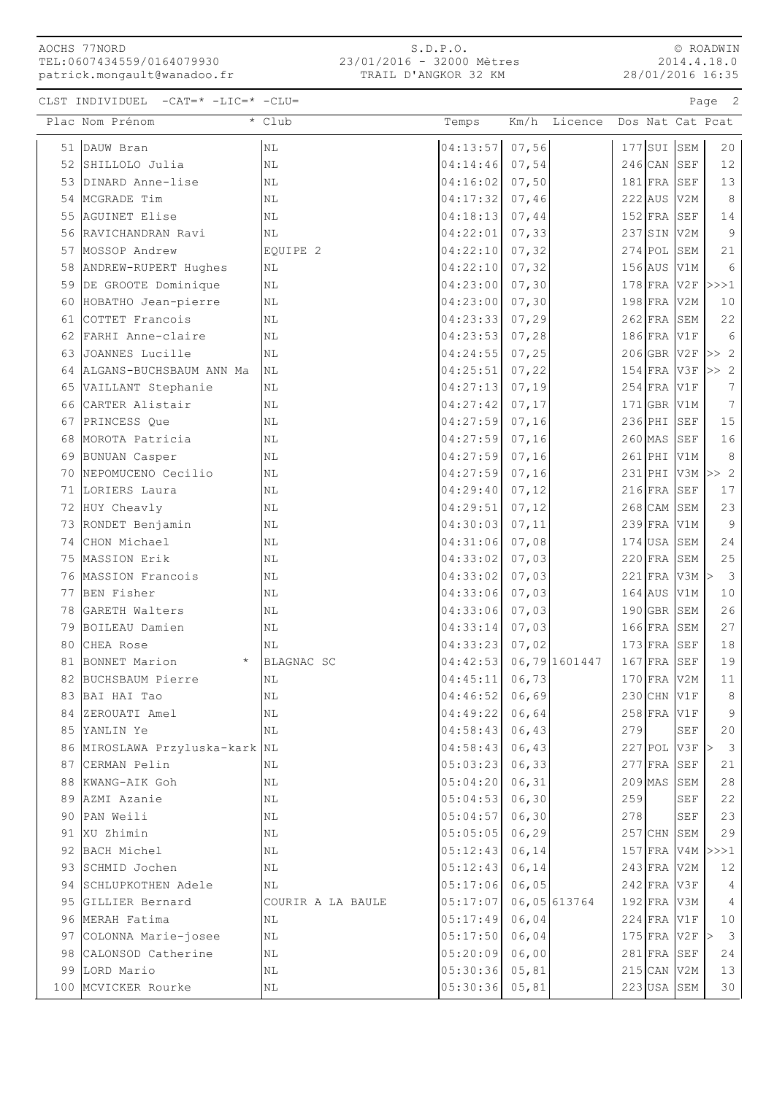S.D.P.O. 23/01/2016 - 32000 Mètres TRAIL D'ANGKOR 32 KM

© ROADWIN 2014.4.18.0 28/01/2016 16:35

CLST INDIVIDUEL -CAT=\* -LIC=\* -CLU= Page 2

|    | Plac Nom Prénom                | $\overline{\cdot}$ Club | Temps                    | Km/h   | Licence |     |               |                                | Dos Nat Cat Pcat        |
|----|--------------------------------|-------------------------|--------------------------|--------|---------|-----|---------------|--------------------------------|-------------------------|
|    | 51 DAUW Bran                   | N <sub>L</sub>          | 04:13:57                 | 07,56  |         |     | $177$ SUI SEM |                                | 20                      |
|    | 52 SHILLOLO Julia              | NL                      | 04:14:46                 | 07,54  |         |     | $246$ CAN SEF |                                | $12$                    |
|    | 53 DINARD Anne-lise            | NL                      | 04:16:02                 | 07,50  |         |     | $181$ FRA SEF |                                | 13                      |
|    | 54 MCGRADE Tim                 | ΝL                      | 04:17:32                 | 07,46  |         |     | 222 AUS V2M   |                                | 8                       |
|    | 55 AGUINET Elise               | ΝL                      | 04:18:13                 | 07,44  |         |     | 152 FRA SEF   |                                | $1\,4$                  |
|    | 56 RAVICHANDRAN Ravi           | ΝL                      | 04:22:01                 | 07,33  |         |     | 237 SIN V2M   |                                | $\mathcal{G}$           |
|    | 57 MOSSOP Andrew               | EQUIPE 2                | 04:22:10                 | 07, 32 |         |     | 274 POL SEM   |                                | 21                      |
|    | 58 ANDREW-RUPERT Hughes        | NL                      | 04:22:10                 | 07, 32 |         |     | 156 AUS V1M   |                                | 6                       |
|    | 59 DE GROOTE Dominique         | ΝL                      | 04:23:00                 | 07, 30 |         |     | $178$ FRA V2F |                                | >>>1                    |
| 60 | HOBATHO Jean-pierre            | ΝL                      | 04:23:00                 | 07, 30 |         |     | 198 FRA V2M   |                                | 10                      |
| 61 | COTTET Francois                | NL                      | 04:23:33                 | 07,29  |         |     | $262$ FRA SEM |                                | 22                      |
| 62 | FARHI Anne-claire              | ΝL                      | 04:23:53                 | 07,28  |         |     | $186$ FRA V1F |                                | 6                       |
|    | 63 JOANNES Lucille             | ΝL                      | 04:24:55                 | 07, 25 |         |     | $206$ GBR V2F |                                | >> 2                    |
|    | 64  ALGANS-BUCHSBAUM ANN Ma    | NL                      | 04:25:51                 | 07,22  |         |     | $154$ FRA V3F |                                | >> 2                    |
|    | 65 VAILLANT Stephanie          | NL                      | 04:27:13                 | 07, 19 |         |     | $254$ FRA V1F |                                | 7                       |
|    | 66 CARTER Alistair             | NL                      | 04:27:42                 | 07,17  |         |     | $171$ GBR V1M |                                | $7\phantom{.0}$         |
|    | 67 PRINCESS Que                | ΝL                      | 04:27:59                 | 07, 16 |         |     | $236$ PHI     | SEF                            | 15                      |
|    | 68 MOROTA Patricia             | ΝL                      | 04:27:59                 | 07, 16 |         |     | $260$ MAS     | SEF                            | 16                      |
|    | 69 BUNUAN Casper               | ΝL                      | 04:27:59                 | 07, 16 |         |     | 261 PHI V1M   |                                | 8                       |
| 70 | NEPOMUCENO Cecilio             | ΝL                      | 04:27:59                 | 07, 16 |         |     |               | 231 PHI V3M                    | >> 2                    |
| 71 | LORIERS Laura                  | ΝL                      | 04:29:40                 | 07,12  |         |     | 216 FRA SEF   |                                | 17                      |
|    | 72 HUY Cheavly                 | ΝL                      | 04:29:51                 | 07, 12 |         |     | 268 CAM SEM   |                                | 23                      |
|    | 73 RONDET Benjamin             | ΝL                      | 04:30:03                 | 07, 11 |         |     | 239 FRA V1M   |                                | $\overline{9}$          |
|    | 74 CHON Michael                | ΝL                      | 04:31:06                 | 07,08  |         |     | 174 USA SEM   |                                | 24                      |
|    | 75 MASSION Erik                | ΝL                      | 04:33:02                 | 07,03  |         |     | $220$ FRA SEM |                                | 25                      |
|    | 76 MASSION Francois            | ΝL                      | 04:33:02                 | 07,03  |         |     |               | $221$ FRA V3M $>$              | $\overline{\mathbf{3}}$ |
|    | 77 BEN Fisher                  | ΝL                      | 04:33:06                 | 07,03  |         |     | $164$ AUS V1M |                                | 10                      |
|    | 78 GARETH Walters              | ΝL                      | 04:33:06                 | 07,03  |         |     | 190 GBR SEM   |                                | 26                      |
|    | 79 BOILEAU Damien              | ΝL                      | 04:33:14                 | 07,03  |         |     | $166$ FRA SEM |                                | 27                      |
| 80 | CHEA Rose                      | ΝL                      | 04:33:23                 | 07,02  |         |     | $173$ FRA SEF |                                | 18                      |
| 81 | BONNET Marion                  | <b>BLAGNAC SC</b>       | 04:42:53 06,79 1601447   |        |         |     | $167$ FRA SEF |                                | 19                      |
|    | 82 BUCHSBAUM Pierre            | ΝL                      | 04:45:11                 | 06,73  |         |     | $170$ FRA V2M |                                | 11                      |
|    | 83 BAI HAI Tao                 | $\rm NL$                | $04:46:52$ 06,69         |        |         |     |               | $230$ CHN V1F                  | 8                       |
|    | 84 ZEROUATI Amel               | ΝL                      | $04:49:22$ 06,64         |        |         |     | $258$ FRA V1F |                                | 9                       |
|    | 85 YANLIN Ye                   | ΝL                      | $04:58:43$ 06,43         |        |         | 279 |               | SEF                            | 20                      |
|    | 86 MIROSLAWA Przyluska-kark NL |                         | $04:58:43$ 06,43         |        |         |     |               | $227$ POL V3F $\triangleright$ | $\overline{\mathbf{3}}$ |
|    | 87 CERMAN Pelin                | ΝL                      | $05:03:23$ 06,33         |        |         |     | $277$ FRA SEF |                                | 21                      |
|    | 88 KWANG-AIK Goh               | ΝL                      | 05:04:20                 | 06, 31 |         |     | $209$ MAS     | SEM                            | 28                      |
|    | 89 AZMI Azanie                 | NL                      | 05:04:53                 | 06, 30 |         | 259 |               | SEF                            | 22                      |
|    | 90 PAN Weili                   | ΝL                      | $05:04:57$ 06,30         |        |         | 278 |               | $\operatorname{SEF}$           | 23                      |
|    | 91 XU Zhimin                   | NL                      | $05:05:05$ 06,29         |        |         |     | 257 CHN SEM   |                                | 29                      |
|    | 92 BACH Michel                 | ΝL                      | $05:12:43$ 06, 14        |        |         |     |               |                                | 157 FRA V4M >>>1        |
|    | 93 SCHMID Jochen               | ΝL                      | $05:12:43$ 06,14         |        |         |     | 243 FRA V2M   |                                | 12                      |
|    | 94 SCHLUPKOTHEN Adele          | $\rm NL$                | $05:17:06$ 06,05         |        |         |     | $242$ FRA V3F |                                | $\overline{4}$          |
|    | 95 GILLIER Bernard             | COURIR A LA BAULE       | $05:17:07$ 06, 05 613764 |        |         |     |               | 192 FRA V3M                    | $\overline{4}$          |
|    | 96 MERAH Fatima                | ΝL                      | $05:17:49$ 06,04         |        |         |     | $224$ FRA V1F |                                | 10                      |
|    | 97 COLONNA Marie-josee         | ΝL                      | 05:17:50                 | 06,04  |         |     |               | $175$ FRA V2F $>$              | $\overline{\mathbf{3}}$ |
|    | 98 CALONSOD Catherine          | ΝL                      | 05:20:09                 | 06,00  |         |     | $281$ FRA SEF |                                | 24                      |
|    | 99 LORD Mario                  | $\rm NL$                | $05:30:36$ 05,81         |        |         |     | $215$ CAN V2M |                                | $13$                    |
|    | 100 MCVICKER Rourke            | ΝL                      | $05:30:36$ 05,81         |        |         |     |               | 223 USA SEM                    | 30                      |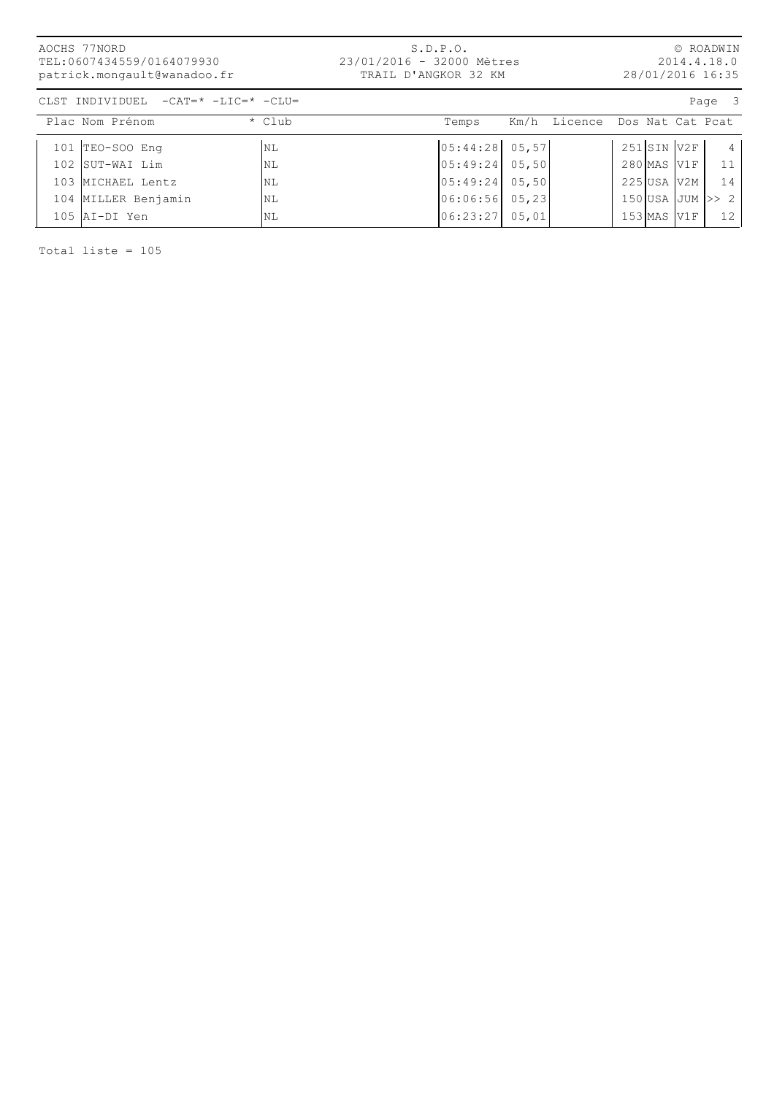| AOCHS 77NORD                |
|-----------------------------|
| TEL:0607434559/0164079930   |
| patrick.mongault@wanadoo.fr |

#### S.D.P.O. 23/01/2016 - 32000 Mètres TRAIL D'ANGKOR 32 KM

© ROADWIN 2014.4.18.0 28/01/2016 16:35

| CLST INDIVIDUEL<br>$-CAT = * -LIC = * -CLU =$ |        |                  |       |                               |         |              |     | Page 3          |
|-----------------------------------------------|--------|------------------|-------|-------------------------------|---------|--------------|-----|-----------------|
| Plac Nom Prénom                               | * Club | Temps            |       | Km/h Licence Dos Nat Cat Pcat |         |              |     |                 |
| $101$ TEO-SOO Eng                             | NL     | 05:44:28 05,57   |       |                               |         | 251 SIN V2F  |     | 4 <sup>1</sup>  |
| 102 SUT-WAI Lim                               | NL     | 05:49:24 05,50   |       |                               |         | 280 MAS V1F  |     | 11              |
| 103 MICHAEL Lentz                             | NL     | 05:49:24 05.50   |       |                               | 225 USA |              | V2M | 14              |
| 104 MILLER Benjamin                           | NL     | $06:06:56$ 05,23 |       |                               |         | 150 JUSA JUM |     | $>>$ 2          |
| 105 AI-DI Yen                                 | NL     | 06:23:27         | 05,01 |                               |         | 153 MAS      | V1F | 12 <sup>7</sup> |

Total liste = 105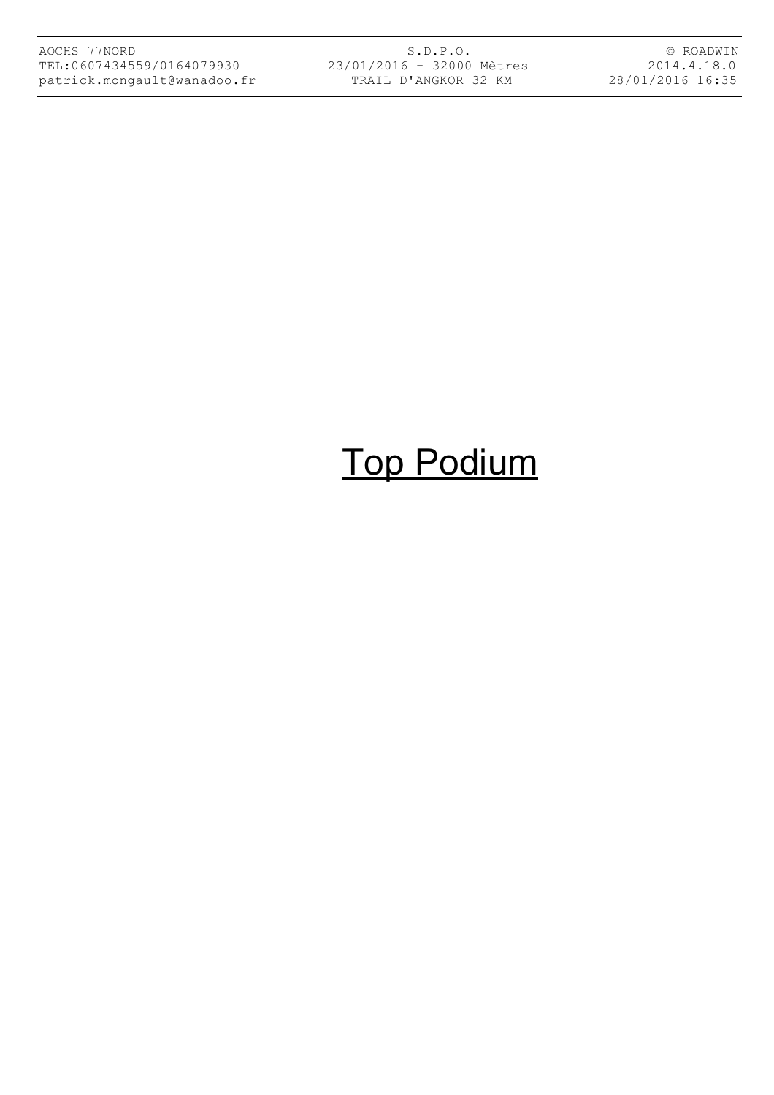S.D.P.O. 23/01/2016 - 32000 Mètres TRAIL D'ANGKOR 32 KM

© ROADWIN 2014.4.18.0 28/01/2016 16:35

## Top Podium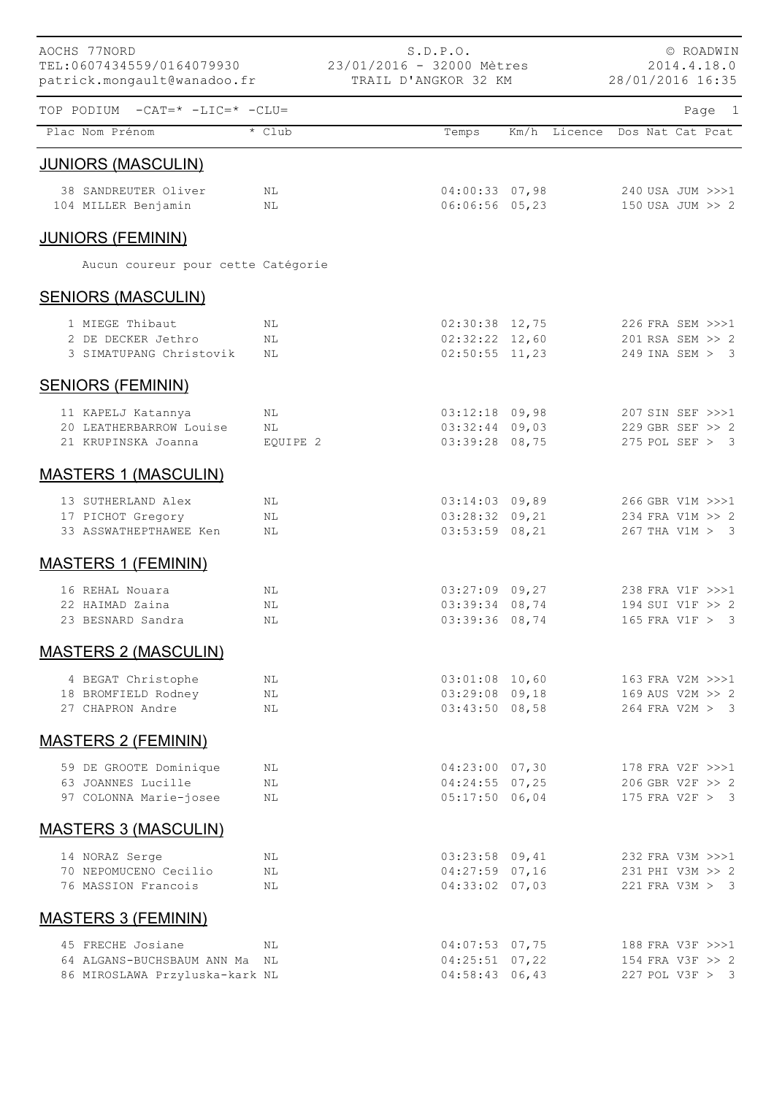| AOCHS 77NORD<br>TEL:0607434559/0164079930<br>patrick.mongault@wanadoo.fr |                | 23/01/2016 - 32000 Mètres<br>TRAIL D'ANGKOR 32 KM | S.D.P.O.          |                               | 28/01/2016 16:35 | © ROADWIN<br>2014.4.18.0 |        |  |
|--------------------------------------------------------------------------|----------------|---------------------------------------------------|-------------------|-------------------------------|------------------|--------------------------|--------|--|
| TOP PODIUM $-CAT = * -LIC = * -CLU =$                                    |                |                                                   |                   |                               |                  |                          | Page 1 |  |
| Plac Nom Prénom                                                          | * Club         |                                                   | Temps             | Km/h Licence Dos Nat Cat Pcat |                  |                          |        |  |
| <b>JUNIORS (MASCULIN)</b>                                                |                |                                                   |                   |                               |                  |                          |        |  |
| 38 SANDREUTER Oliver                                                     | NL             |                                                   | $04:00:33$ 07,98  |                               |                  | 240 USA JUM >>>1         |        |  |
| 104 MILLER Benjamin                                                      | NL             |                                                   | $06:06:56$ 05,23  |                               |                  | 150 USA JUM >> 2         |        |  |
| <b>JUNIORS (FEMININ)</b>                                                 |                |                                                   |                   |                               |                  |                          |        |  |
| Aucun coureur pour cette Catégorie                                       |                |                                                   |                   |                               |                  |                          |        |  |
| <b>SENIORS (MASCULIN)</b>                                                |                |                                                   |                   |                               |                  |                          |        |  |
| 1 MIEGE Thibaut                                                          | NL             |                                                   | $02:30:38$ 12,75  |                               |                  | 226 FRA SEM >>>1         |        |  |
| 2 DE DECKER Jethro                                                       | NL             |                                                   | $02:32:22$ 12,60  |                               |                  | 201 RSA SEM >> 2         |        |  |
| 3 SIMATUPANG Christovik                                                  | NL             |                                                   | $02:50:55$ 11,23  |                               |                  | 249 INA SEM > 3          |        |  |
| <b>SENIORS (FEMININ)</b>                                                 |                |                                                   |                   |                               |                  |                          |        |  |
| 11 KAPELJ Katannya                                                       | ΝL             |                                                   | $03:12:18$ 09,98  |                               |                  | 207 SIN SEF >>>1         |        |  |
| 20 LEATHERBARROW Louise                                                  | NL             |                                                   | $03:32:44$ 09,03  |                               |                  | 229 GBR SEF >> 2         |        |  |
| 21 KRUPINSKA Joanna                                                      | EQUIPE 2       |                                                   | $03:39:28$ 08,75  |                               |                  | 275 POL SEF > 3          |        |  |
| <b>MASTERS 1 (MASCULIN)</b>                                              |                |                                                   |                   |                               |                  |                          |        |  |
| 13 SUTHERLAND Alex                                                       | NL             |                                                   | $03:14:03$ 09,89  |                               |                  | 266 GBR V1M >>>1         |        |  |
| 17 PICHOT Gregory                                                        | NL             |                                                   | $03:28:32$ 09, 21 |                               |                  | 234 FRA V1M >> 2         |        |  |
| 33 ASSWATHEPTHAWEE Ken                                                   | ΝL             |                                                   | $03:53:59$ 08, 21 |                               |                  | 267 THA V1M > 3          |        |  |
| <b>MASTERS 1 (FEMININ)</b>                                               |                |                                                   |                   |                               |                  |                          |        |  |
| 16 REHAL Nouara                                                          | NL             |                                                   | $03:27:09$ 09,27  |                               |                  | 238 FRA V1F >>>1         |        |  |
| 22 HAIMAD Zaina                                                          | NL             |                                                   | 03:39:34 08,74    |                               |                  | 194 SUI V1F >> 2         |        |  |
| 23 BESNARD Sandra                                                        | NL.            |                                                   | 03:39:36 08,74    |                               |                  | 165 FRA V1F > 3          |        |  |
| <b>MASTERS 2 (MASCULIN)</b>                                              |                |                                                   |                   |                               |                  |                          |        |  |
| 4 BEGAT Christophe                                                       | NL             |                                                   | $03:01:08$ 10,60  |                               |                  | 163 FRA V2M >>>1         |        |  |
| 18 BROMFIELD Rodney                                                      | NL             |                                                   | $03:29:08$ 09,18  |                               |                  | 169 AUS V2M >> 2         |        |  |
| 27 CHAPRON Andre                                                         | NL             |                                                   | $03:43:50$ 08,58  |                               |                  | 264 FRA V2M > 3          |        |  |
| <b>MASTERS 2 (FEMININ)</b>                                               |                |                                                   |                   |                               |                  |                          |        |  |
| 59 DE GROOTE Dominique                                                   | NL             |                                                   | $04:23:00$ 07,30  |                               |                  | 178 FRA V2F >>>1         |        |  |
| 63 JOANNES Lucille                                                       | NL             |                                                   | $04:24:55$ 07,25  |                               |                  | 206 GBR V2F >> 2         |        |  |
| 97 COLONNA Marie-josee                                                   | NL             |                                                   | $05:17:50$ 06,04  |                               |                  | 175 FRA V2F $> 3$        |        |  |
| <b>MASTERS 3 (MASCULIN)</b>                                              |                |                                                   |                   |                               |                  |                          |        |  |
| 14 NORAZ Serge                                                           | NL             |                                                   | $03:23:58$ 09,41  |                               |                  | 232 FRA V3M >>>1         |        |  |
| 70 NEPOMUCENO Cecilio                                                    | N <sub>L</sub> |                                                   | $04:27:59$ 07,16  |                               |                  | 231 PHI V3M >> 2         |        |  |
| 76 MASSION Francois                                                      | NL             |                                                   | $04:33:02$ 07,03  |                               |                  | 221 FRA V3M > 3          |        |  |
| <b>MASTERS 3 (FEMININ)</b>                                               |                |                                                   |                   |                               |                  |                          |        |  |
| 45 FRECHE Josiane                                                        | NL             |                                                   | $04:07:53$ 07,75  |                               |                  | 188 FRA V3F >>>1         |        |  |
| 64 ALGANS-BUCHSBAUM ANN Ma NL                                            |                |                                                   | $04:25:51$ 07,22  |                               |                  | 154 FRA V3F >> 2         |        |  |
| 86 MIROSLAWA Przyluska-kark NL                                           |                |                                                   | $04:58:43$ 06,43  |                               |                  | 227 POL V3F > 3          |        |  |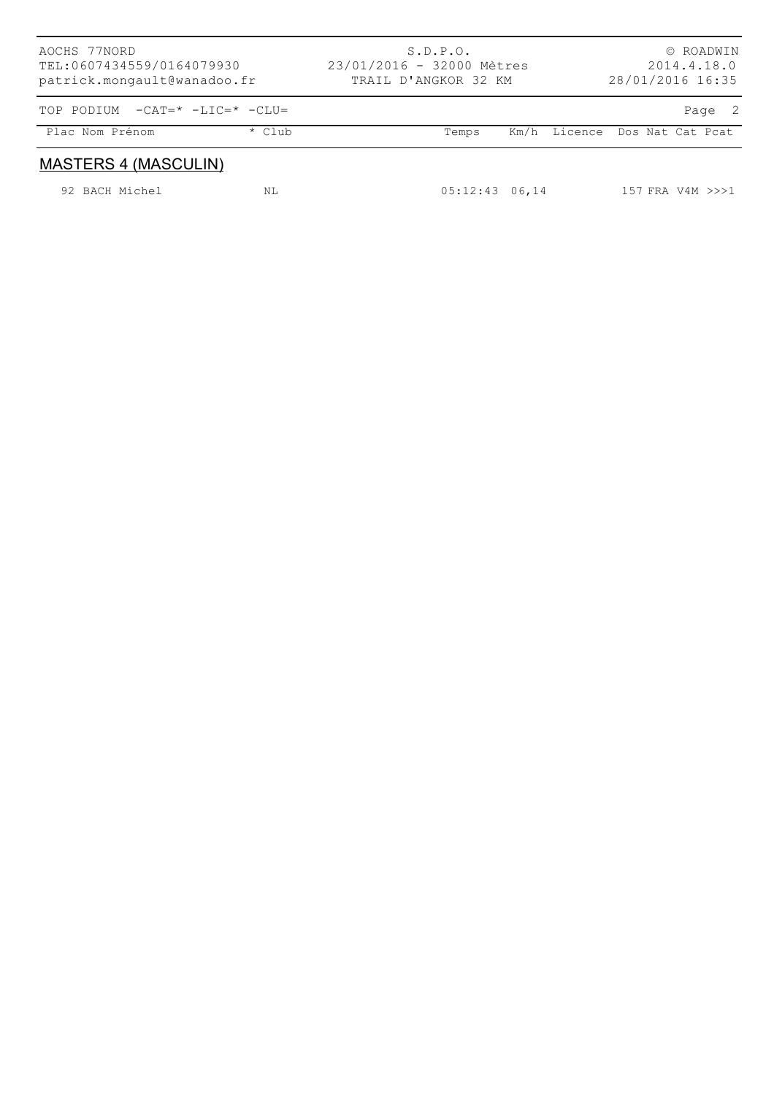| AOCHS 77NORD<br>TEL:0607434559/0164079930<br>patrick.mongault@wanadoo.fr |          | 23/01/2016 - 32000 Mètres<br>TRAIL D'ANGKOR 32 KM | S.D.P.O.         |                               | 28/01/2016 16:35 | © ROADWIN<br>2014.4.18.0 |  |
|--------------------------------------------------------------------------|----------|---------------------------------------------------|------------------|-------------------------------|------------------|--------------------------|--|
| $-CAT = * -LIC = * -CLU =$<br>TOP PODIUM                                 |          |                                                   |                  |                               |                  | Page 2                   |  |
| Plac Nom Prénom                                                          | $*$ Club |                                                   | Temps            | Km/h Licence Dos Nat Cat Pcat |                  |                          |  |
| <b>MASTERS 4 (MASCULIN)</b>                                              |          |                                                   |                  |                               |                  |                          |  |
| 92 BACH Michel                                                           | NL       |                                                   | $05:12:43$ 06,14 |                               | 157 FRA V4M >>>1 |                          |  |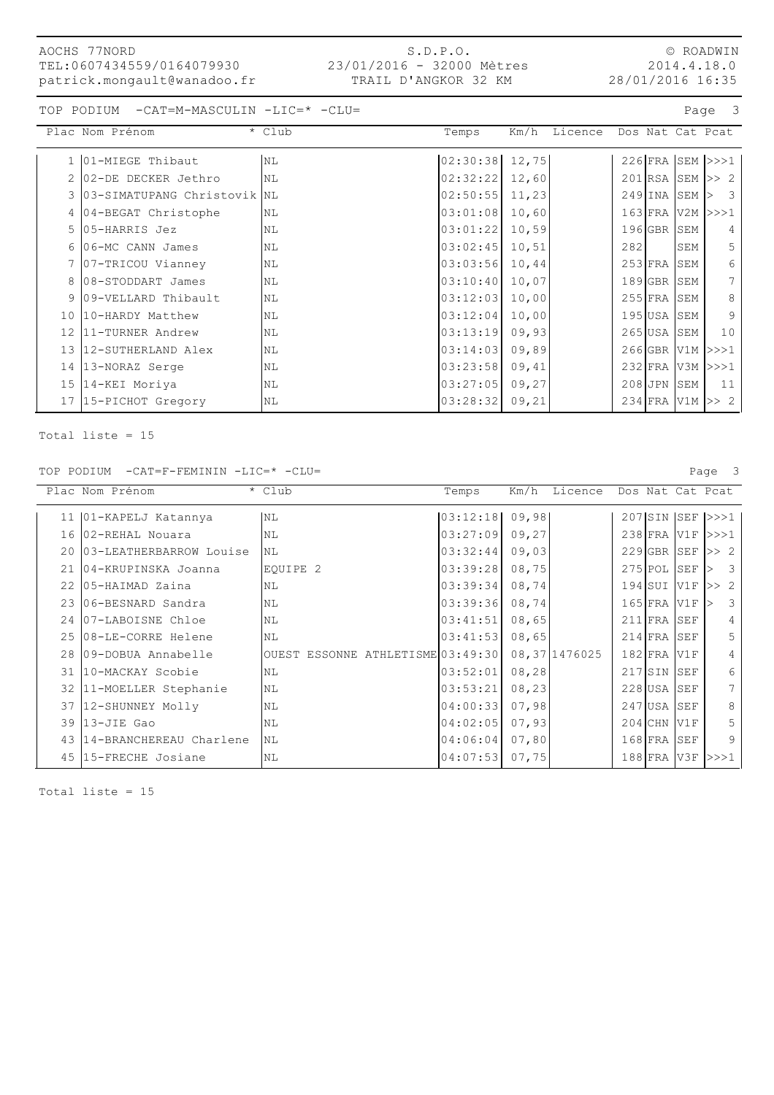#### S.D.P.O. 23/01/2016 - 32000 Mètres TRAIL D'ANGKOR 32 KM

© ROADWIN 2014.4.18.0 28/01/2016 16:35

TOP PODIUM -CAT=M-MASCULIN -LIC=\* -CLU= Page 3

|                | Plac Nom Prénom             | * Club    | Temps    | Km/h  | Licence |     |                   |     | Dos Nat Cat Pcat   |
|----------------|-----------------------------|-----------|----------|-------|---------|-----|-------------------|-----|--------------------|
|                | 01-MIEGE Thibaut            | NL        | 02:30:38 | 12,75 |         |     |                   |     | $226$ FRA SEM >>>1 |
| 2              | 02-DE DECKER Jethro         | <b>NL</b> | 02:32:22 | 12,60 |         |     |                   |     | 201 RSA SEM >> 2   |
| 3              | 03-SIMATUPANG Christovik NL |           | 02:50:55 | 11,23 |         |     | 249 INA SEM       |     | $\mathcal{B}$      |
| $\overline{4}$ | 04-BEGAT Christophe         | <b>NL</b> | 03:01:08 | 10,60 |         |     |                   |     | 163 FRA V2M >>>1   |
| .5             | 05-HARRIS Jez               | NL        | 03:01:22 | 10,59 |         |     | $196$ GBR         | SEM | 4                  |
| 6              | 106-MC CANN James           | <b>NL</b> | 03:02:45 | 10,51 |         | 282 |                   | SEM | 5                  |
|                | 07-TRICOU Vianney           | <b>NL</b> | 03:03:56 | 10,44 |         |     | $253$ FRA         | SEM | 6                  |
| 8              | 08-STODDART James           | <b>NL</b> | 03:10:40 | 10,07 |         |     | 189GBR SEM        |     | 7                  |
| 9              | 09-VELLARD Thibault         | <b>NL</b> | 03:12:03 | 10,00 |         |     | $255$ $FRA$ $SEM$ |     | 8                  |
| 10             | 10-HARDY Matthew            | NL        | 03:12:04 | 10,00 |         |     | 195 USA SEM       |     | 9                  |
| 12             | 111-TURNER Andrew           | <b>NL</b> | 03:13:19 | 09,93 |         |     | $265$ USA         | SEM | 10                 |
| 13             | 12-SUTHERLAND Alex          | <b>NL</b> | 03:14:03 | 09,89 |         |     |                   |     | 266 GBR V1M >>>1   |
| 14             | 13-NORAZ Serge              | NL        | 03:23:58 | 09,41 |         |     |                   |     | 232 FRA V3M >>>1   |
| 15             | 14-KEI Moriya               | <b>NL</b> | 03:27:05 | 09,27 |         |     | $208$ JPN         | SEM | 11                 |
| 17             | 15-PICHOT Gregory           | NL        | 03:28:32 | 09,21 |         |     |                   |     | 234 FRA V1M >> 2   |

Total liste = 15

#### TOP PODIUM -CAT=F-FEMININ -LIC=\* -CLU= Page 3

Plac Nom Prénom \* Club \* Club Temps Km/h Licence Dos Nat Cat Pcat 11 01-KAPELJ Katannya NL 03:12:18 09,98 207 SIN SEF >>>1 16 02-REHAL Nouara NL 03:27:09 09,27 238 FRA V1F >>>1 20 03-LEATHERBARROW Louise NL 03:32:44 09,03 229 GBR SEF >> 2 21 04-KRUPINSKA Joanna EQUIPE 2 03:39:28 08,75 275 POL SEF > 3 22 05-HAIMAD Zaina NL 03:39:34 08,74 194 SUI V1F >> 2 23 06-BESNARD Sandra NL NL 03:39:36 08,74 165 FRA V1F > 3 24 07-LABOISNE Chloe NL NL 03:41:51 08,65 211 FRA SEF 4 25 08-LE-CORRE Helene ML NL 03:41:53 08,65 214 FRA SEF 5 28 09-DOBUA Annabelle | OUEST ESSONNE ATHLETISME 03:49:30 08,37 1476025 | 182 FRA V1F | 4 31 10-MACKAY Scobie NL NL 03:52:01 08,28 217 SIN SEF 6 32 11-MOELLER Stephanie NL 228 USA SEF 7 37 12-SHUNNEY Molly NL NL 04:00:33 07,98 247 USA SEF 8 39 13-JIE Gao NL NL 204:02:05 07,93 204 CHN V1F 5 43 14-BRANCHEREAU Charlene NL 68 | 04:06:04 07,80 168 FRA SEF 9 45 15-FRECHE Josiane NL NL 04:07:53 07,75 188 FRA V3F >>>1

Total liste = 15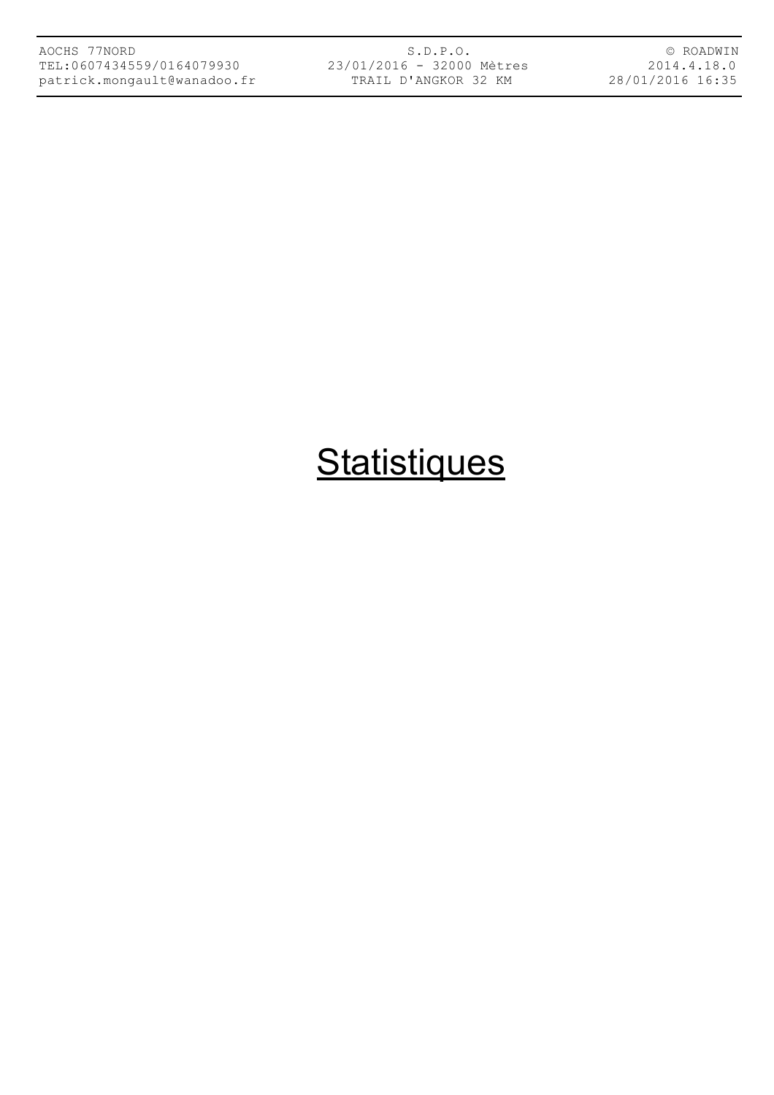S.D.P.O. 23/01/2016 - 32000 Mètres TRAIL D'ANGKOR 32 KM

© ROADWIN 2014.4.18.0 28/01/2016 16:35

# **Statistiques**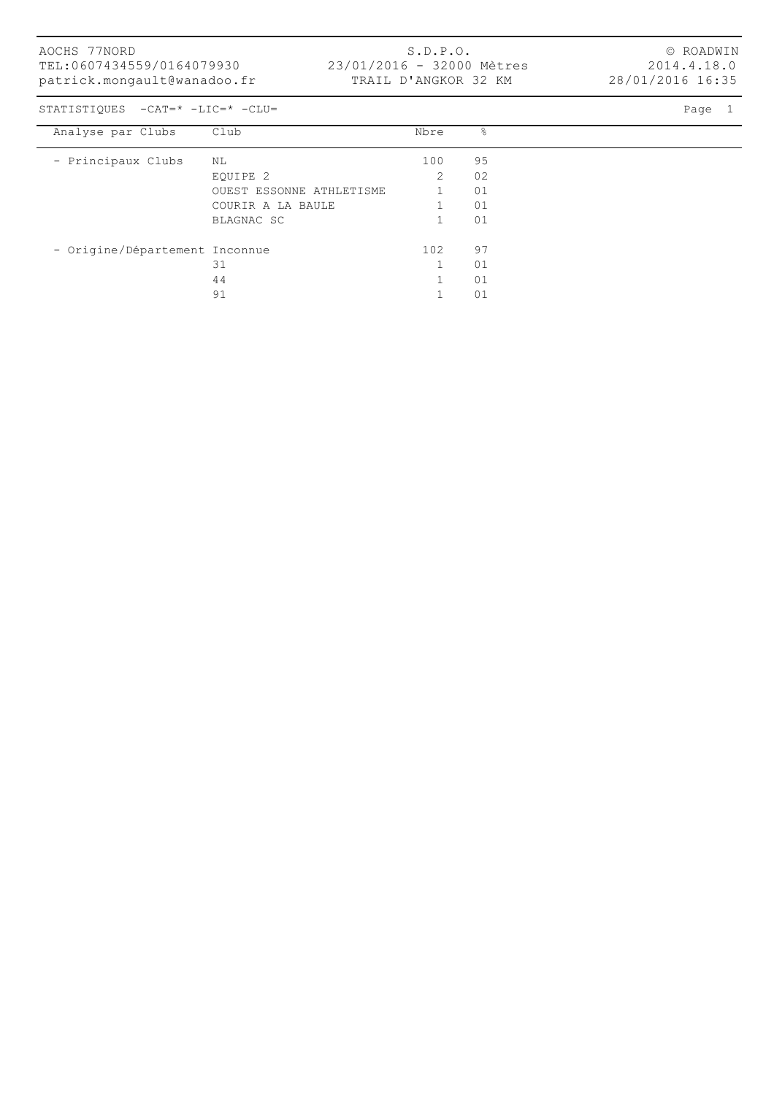S.D.P.O. 23/01/2016 - 32000 Mètres TRAIL D'ANGKOR 32 KM

© ROADWIN 2014.4.18.0 28/01/2016 16:35

STATISTIQUES -CAT=\* -LIC=\* -CLU= Page 1

| Analyse par Clubs              | Club                     | Nbre | $\frac{6}{6}$ |
|--------------------------------|--------------------------|------|---------------|
| - Principaux Clubs             | NL                       | 100  | 95            |
|                                | EQUIPE 2                 | 2    | 02            |
|                                | OUEST ESSONNE ATHLETISME |      | 01            |
|                                | COURIR A LA BAULE        |      | 01            |
|                                | BLAGNAC SC               |      | 01            |
| - Origine/Département Inconnue |                          | 102  | 97            |
|                                | 31                       |      | 01            |
|                                | 44                       |      | 01            |
|                                | 91                       |      | 01            |